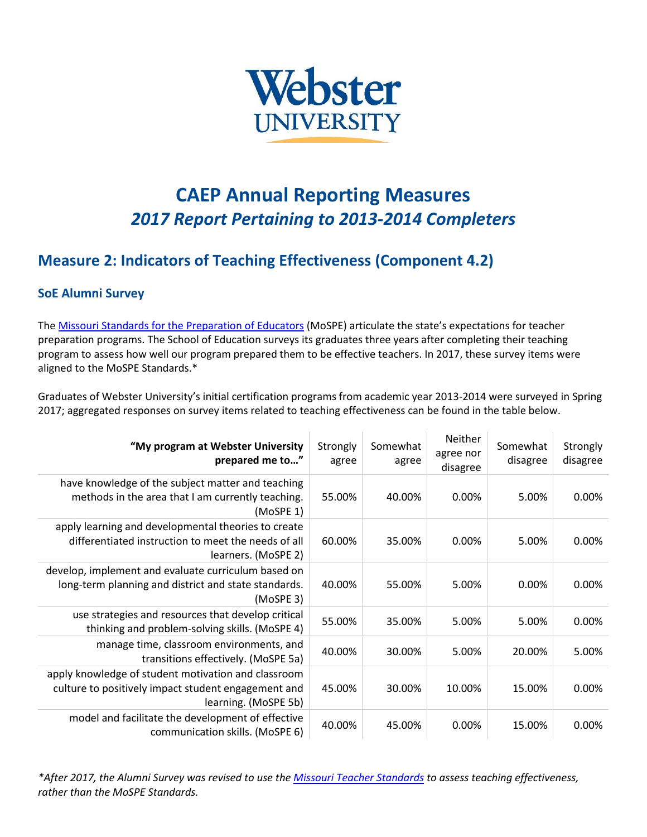

## **CAEP Annual Reporting Measures** *2017 Report Pertaining to 2013-2014 Completers*

## **Measure 2: Indicators of Teaching Effectiveness (Component 4.2)**

## **SoE Alumni Survey**

The [Missouri Standards for the Preparation](https://dese.mo.gov/sites/default/files/MoSPE20-400440OrderChanges11-2012.pdf) of Educators (MoSPE) articulate the state's expectations for teacher preparation programs. The School of Education surveys its graduates three years after completing their teaching program to assess how well our program prepared them to be effective teachers. In 2017, these survey items were aligned to the MoSPE Standards.\*

Graduates of Webster University's initial certification programs from academic year 2013-2014 were surveyed in Spring 2017; aggregated responses on survey items related to teaching effectiveness can be found in the table below.

| "My program at Webster University<br>prepared me to"                                                                               | Strongly<br>agree | Somewhat<br>agree | Neither<br>agree nor<br>disagree | Somewhat<br>disagree | Strongly<br>disagree |
|------------------------------------------------------------------------------------------------------------------------------------|-------------------|-------------------|----------------------------------|----------------------|----------------------|
| have knowledge of the subject matter and teaching<br>methods in the area that I am currently teaching.<br>(MoSPE 1)                | 55.00%            | 40.00%            | 0.00%                            | 5.00%                | 0.00%                |
| apply learning and developmental theories to create<br>differentiated instruction to meet the needs of all<br>learners. (MoSPE 2)  | 60.00%            | 35.00%            | 0.00%                            | 5.00%                | 0.00%                |
| develop, implement and evaluate curriculum based on<br>long-term planning and district and state standards.<br>(MoSPE 3)           | 40.00%            | 55.00%            | 5.00%                            | 0.00%                | 0.00%                |
| use strategies and resources that develop critical<br>thinking and problem-solving skills. (MoSPE 4)                               | 55.00%            | 35.00%            | 5.00%                            | 5.00%                | 0.00%                |
| manage time, classroom environments, and<br>transitions effectively. (MoSPE 5a)                                                    | 40.00%            | 30.00%            | 5.00%                            | 20.00%               | 5.00%                |
| apply knowledge of student motivation and classroom<br>culture to positively impact student engagement and<br>learning. (MoSPE 5b) | 45.00%            | 30.00%            | 10.00%                           | 15.00%               | 0.00%                |
| model and facilitate the development of effective<br>communication skills. (MoSPE 6)                                               | 40.00%            | 45.00%            | 0.00%                            | 15.00%               | 0.00%                |

*\*After 2017, the Alumni Survey was revised to use the [Missouri Teacher Standards](https://dese.mo.gov/sites/default/files/TeacherStandards.pdf) to assess teaching effectiveness, rather than the MoSPE Standards.*